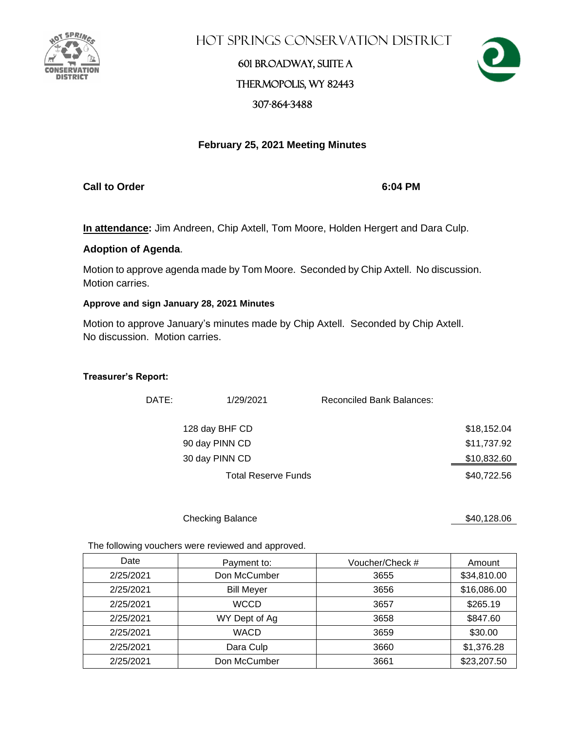

**HOT SPRINGS CONSERVATION DISTRICT** 

## 601 Broadway, Suite A Thermopolis, WY 82443 307-864-3488



### **February 25, 2021 Meeting Minutes**

**Call to Order 6:04 PM**

**In attendance:** Jim Andreen, Chip Axtell, Tom Moore, Holden Hergert and Dara Culp.

### **Adoption of Agenda**.

Motion to approve agenda made by Tom Moore. Seconded by Chip Axtell. No discussion. Motion carries.

### **Approve and sign January 28, 2021 Minutes**

Motion to approve January's minutes made by Chip Axtell. Seconded by Chip Axtell. No discussion. Motion carries.

### **Treasurer's Report:**

| DATE: | 1/29/2021                  | <b>Reconciled Bank Balances:</b> |             |
|-------|----------------------------|----------------------------------|-------------|
|       | 128 day BHF CD             |                                  | \$18,152.04 |
|       | 90 day PINN CD             |                                  | \$11,737.92 |
|       | 30 day PINN CD             |                                  | \$10,832.60 |
|       | <b>Total Reserve Funds</b> |                                  | \$40,722.56 |

#### Checking Balance \$40,128.06

The following vouchers were reviewed and approved.

| Date      | Payment to:       | Voucher/Check # | Amount      |
|-----------|-------------------|-----------------|-------------|
| 2/25/2021 | Don McCumber      | 3655            | \$34,810.00 |
| 2/25/2021 | <b>Bill Meyer</b> | 3656            | \$16,086.00 |
| 2/25/2021 | <b>WCCD</b>       | 3657            | \$265.19    |
| 2/25/2021 | WY Dept of Ag     | 3658            | \$847.60    |
| 2/25/2021 | <b>WACD</b>       | 3659            | \$30.00     |
| 2/25/2021 | Dara Culp         | 3660            | \$1,376.28  |
| 2/25/2021 | Don McCumber      | 3661            | \$23,207.50 |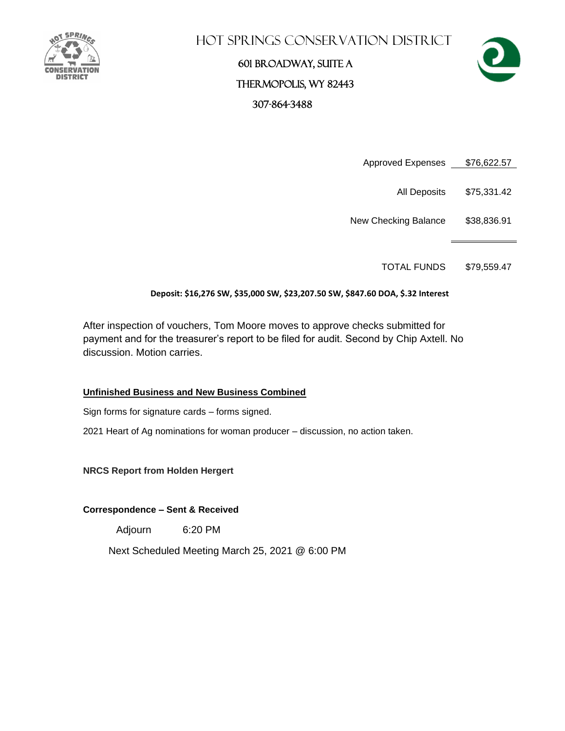

### **HOT SPRINGS CONSERVATION DISTRICT**

# 601 Broadway, Suite A Thermopolis, WY 82443 307-864-3488



- Approved Expenses \$76,622.57
	- All Deposits \$75,331.42
- New Checking Balance \$38,836.91

TOTAL FUNDS \$79,559.47

### **Deposit: \$16,276 SW, \$35,000 SW, \$23,207.50 SW, \$847.60 DOA, \$.32 Interest**

After inspection of vouchers, Tom Moore moves to approve checks submitted for payment and for the treasurer's report to be filed for audit. Second by Chip Axtell. No discussion. Motion carries.

### **Unfinished Business and New Business Combined**

Sign forms for signature cards – forms signed.

2021 Heart of Ag nominations for woman producer – discussion, no action taken.

**NRCS Report from Holden Hergert**

### **Correspondence – Sent & Received**

Adjourn 6:20 PM

Next Scheduled Meeting March 25, 2021 @ 6:00 PM